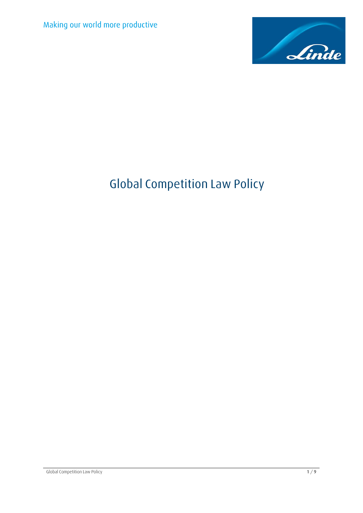

# **Global Competition Law Policy**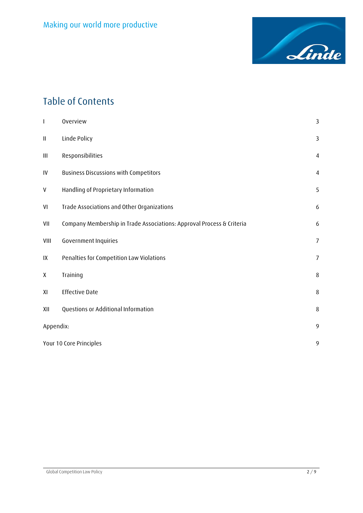

# **Table of Contents**

| I        | Overview                                                              | 3              |
|----------|-----------------------------------------------------------------------|----------------|
| $\sf II$ | Linde Policy                                                          | 3              |
| Ш        | Responsibilities                                                      | $\overline{4}$ |
| IV       | <b>Business Discussions with Competitors</b>                          | $\overline{4}$ |
| V        | Handling of Proprietary Information                                   | 5              |
| VI       | Trade Associations and Other Organizations                            | 6              |
| VII      | Company Membership in Trade Associations: Approval Process & Criteria | 6              |
| VIII     | Government Inquiries                                                  | $\overline{7}$ |
| IX       | Penalties for Competition Law Violations                              | $\overline{7}$ |
| X        | Training                                                              | $\,8\,$        |
| XI       | <b>Effective Date</b>                                                 | 8              |
| XII      | Questions or Additional Information                                   | 8              |
|          | Appendix:                                                             |                |
|          | Your 10 Core Principles                                               |                |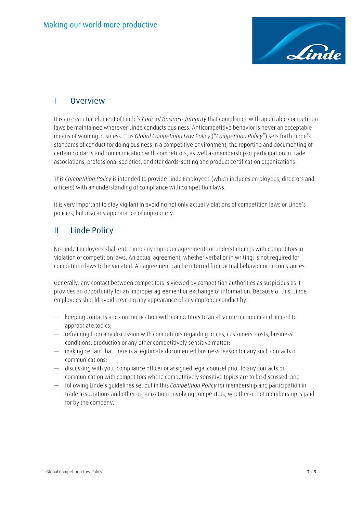

### <span id="page-2-0"></span>**I Overview**

It is an essential element of Linde's *Code of Business Integrity* that compliance with applicable competition laws be maintained wherever Linde conducts business. Anticompetitive behavior is never an acceptable means of winning business. This *Global Competition Law Policy* ("*Competition Policy*") sets forth Linde's standards of conduct for doing business in a competitive environment, the reporting and documenting of certain contacts and communication with competitors, as well as membership or participation in trade associations, professional societies, and standards-setting and product certification organizations.

This *Competition Policy* is intended to provide Linde Employees (which includes employees, directors and officers) with an understanding of compliance with competition laws.

It is very important to stay vigilant in avoiding not only actual violations of competition laws or Linde's policies, but also any appearance of impropriety.

### <span id="page-2-1"></span>**II Linde Policy**

No Linde Employees shall enter into any improper agreements or understandings with competitors in violation of competition laws. An actual agreement, whether verbal or in writing, is not required for competition laws to be violated. An agreement can be inferred from actual behavior or circumstances.

Generally, any contact between competitors is viewed by competition authorities as suspicious as it provides an opportunity for an improper agreement or exchange of information. Because of this, Linde employees should avoid creating any appearance of any improper conduct by:

- keeping contacts and communication with competitors to an absolute minimum and limited to appropriate topics;
- refraining from any discussion with competitors regarding prices, customers, costs, business conditions, production or any other competitively sensitive matter;
- making certain that there is a legitimate documented business reason for any such contacts or communications;
- discussing with your compliance officer or assigned legal counsel prior to any contacts or communication with competitors where competitively sensitive topics are to be discussed; and
- following Linde's guidelines set out in this *Competition Policy* for membership and participation in trade associations and other organizations involving competitors, whether or not membership is paid for by the company.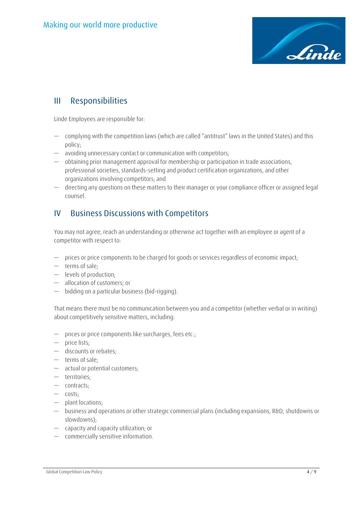

### <span id="page-3-0"></span>**III Responsibilities**

Linde Employees are responsible for:

- complying with the competition laws (which are called "antitrust" laws in the United States) and this policy;
- avoiding unnecessary contact or communication with competitors;
- obtaining prior management approval for membership or participation in trade associations, professional societies, standards-setting and product certification organizations, and other organizations involving competitors; and
- directing any questions on these matters to their manager or your compliance officer or assigned legal counsel.

### <span id="page-3-1"></span>**IV Business Discussions with Competitors**

You may not agree, reach an understanding or otherwise act together with an employee or agent of a competitor with respect to:

- prices or price components to be charged for goods or services regardless of economic impact;
- terms of sale;
- levels of production;
- allocation of customers; or
- bidding on a particular business (bid-rigging).

That means there must be no communication between you and a competitor (whether verbal or in writing) about competitively sensitive matters, including:

- prices or price components like surcharges, fees etc.;
- price lists;
- discounts or rebates;
- terms of sale;
- actual or potential customers;
- territories;
- contracts;
- costs;
- plant locations;
- business and operations or other strategic commercial plans (including expansions, R&D, shutdowns or slowdowns);
- capacity and capacity utilization; or
- commercially sensitive information.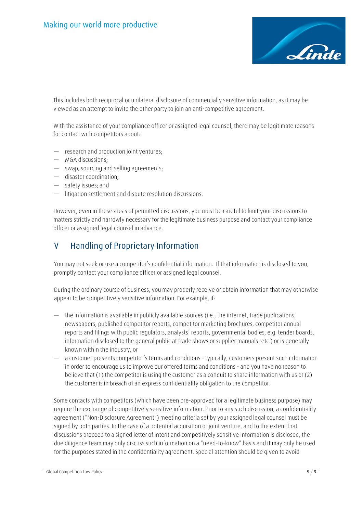

This includes both reciprocal or unilateral disclosure of commercially sensitive information, as it may be viewed as an attempt to invite the other party to join an anti-competitive agreement.

With the assistance of your compliance officer or assigned legal counsel, there may be legitimate reasons for contact with competitors about:

- research and production joint ventures;
- M&A discussions;
- swap, sourcing and selling agreements;
- disaster coordination;
- safety issues; and
- litigation settlement and dispute resolution discussions.

However, even in these areas of permitted discussions, you must be careful to limit your discussions to matters strictly and narrowly necessary for the legitimate business purpose and contact your compliance officer or assigned legal counsel in advance.

### <span id="page-4-0"></span>**V Handling of Proprietary Information**

You may not seek or use a competitor's confidential information. If that information is disclosed to you, promptly contact your compliance officer or assigned legal counsel.

During the ordinary course of business, you may properly receive or obtain information that may otherwise appear to be competitively sensitive information. For example, if:

- the information is available in publicly available sources (i.e., the internet, trade publications, newspapers, published competitor reports, competitor marketing brochures, competitor annual reports and filings with public regulators, analysts' reports, governmental bodies, e.g. tender boards, information disclosed to the general public at trade shows or supplier manuals, etc.) or is generally known within the industry, or
- a customer presents competitor's terms and conditions typically, customers present such information in order to encourage us to improve our offered terms and conditions - and you have no reason to believe that (1) the competitor is using the customer as a conduit to share information with us or (2) the customer is in breach of an express confidentiality obligation to the competitor.

Some contacts with competitors (which have been pre-approved for a legitimate business purpose) may require the exchange of competitively sensitive information. Prior to any such discussion, a confidentiality agreement ("Non-Disclosure Agreement") meeting criteria set by your assigned legal counsel must be signed by both parties. In the case of a potential acquisition or joint venture, and to the extent that discussions proceed to a signed letter of intent and competitively sensitive information is disclosed, the due diligence team may only discuss such information on a "need-to-know" basis and it may only be used for the purposes stated in the confidentiality agreement. Special attention should be given to avoid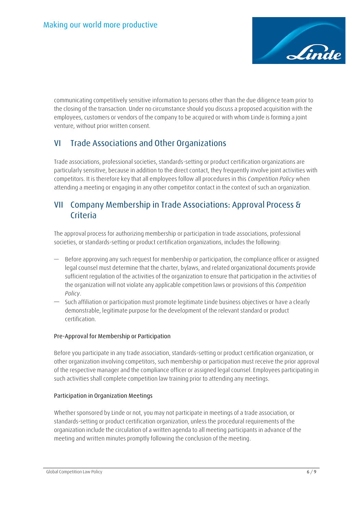

communicating competitively sensitive information to persons other than the due diligence team prior to the closing of the transaction. Under no circumstance should you discuss a proposed acquisition with the employees, customers or vendors of the company to be acquired or with whom Linde is forming a joint venture, without prior written consent.

### <span id="page-5-0"></span>**VI Trade Associations and Other Organizations**

Trade associations, professional societies, standards-setting or product certification organizations are particularly sensitive, because in addition to the direct contact, they frequently involve joint activities with competitors. It is therefore key that all employees follow all procedures in this *Competition Policy* when attending a meeting or engaging in any other competitor contact in the context of such an organization.

### <span id="page-5-1"></span>**VII Company Membership in Trade Associations: Approval Process & Criteria**

The approval process for authorizing membership or participation in trade associations, professional societies, or standards-setting or product certification organizations, includes the following:

- Before approving any such request for membership or participation, the compliance officer or assigned legal counsel must determine that the charter, bylaws, and related organizational documents provide sufficient regulation of the activities of the organization to ensure that participation in the activities of the organization will not violate any applicable competition laws or provisions of this *Competition Policy*.
- Such affiliation or participation must promote legitimate Linde business objectives or have a clearly demonstrable, legitimate purpose for the development of the relevant standard or product certification.

#### **Pre-Approval for Membership or Participation**

Before you participate in any trade association, standards-setting or product certification organization, or other organization involving competitors, such membership or participation must receive the prior approval of the respective manager and the compliance officer or assigned legal counsel. Employees participating in such activities shall complete competition law training prior to attending any meetings.

#### **Participation in Organization Meetings**

Whether sponsored by Linde or not, you may not participate in meetings of a trade association, or standards-setting or product certification organization, unless the procedural requirements of the organization include the circulation of a written agenda to all meeting participants in advance of the meeting and written minutes promptly following the conclusion of the meeting.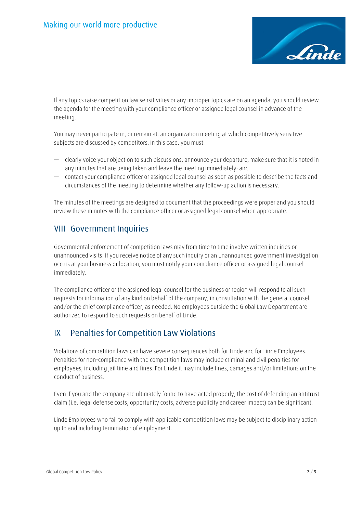

If any topics raise competition law sensitivities or any improper topics are on an agenda, you should review the agenda for the meeting with your compliance officer or assigned legal counsel in advance of the meeting.

You may never participate in, or remain at, an organization meeting at which competitively sensitive subjects are discussed by competitors. In this case, you must:

- clearly voice your objection to such discussions, announce your departure, make sure that it is noted in any minutes that are being taken and leave the meeting immediately; and
- contact your compliance officer or assigned legal counsel as soon as possible to describe the facts and circumstances of the meeting to determine whether any follow-up action is necessary.

The minutes of the meetings are designed to document that the proceedings were proper and you should review these minutes with the compliance officer or assigned legal counsel when appropriate.

### <span id="page-6-0"></span>**VIII Government Inquiries**

Governmental enforcement of competition laws may from time to time involve written inquiries or unannounced visits. If you receive notice of any such inquiry or an unannounced government investigation occurs at your business or location, you must notify your compliance officer or assigned legal counsel immediately.

The compliance officer or the assigned legal counsel for the business or region will respond to all such requests for information of any kind on behalf of the company, in consultation with the general counsel and/or the chief compliance officer, as needed. No employees outside the Global Law Department are authorized to respond to such requests on behalf of Linde.

### <span id="page-6-1"></span>**IX Penalties for Competition Law Violations**

Violations of competition laws can have severe consequences both for Linde and for Linde Employees. Penalties for non-compliance with the competition laws may include criminal and civil penalties for employees, including jail time and fines. For Linde it may include fines, damages and/or limitations on the conduct of business.

Even if you and the company are ultimately found to have acted properly, the cost of defending an antitrust claim (i.e. legal defense costs, opportunity costs, adverse publicity and career impact) can be significant.

Linde Employees who fail to comply with applicable competition laws may be subject to disciplinary action up to and including termination of employment.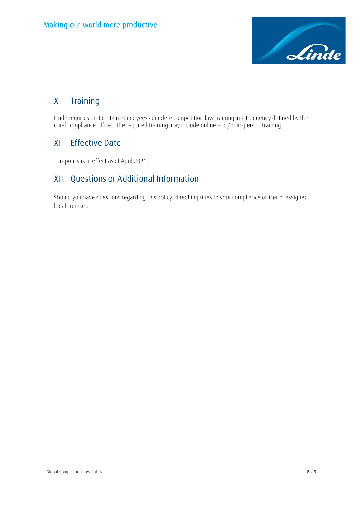

# <span id="page-7-0"></span>**X Training**

Linde requires that certain employees complete competition law training in a frequency defined by the chief compliance officer. The required training may include online and/or in-person training.

### <span id="page-7-1"></span>**XI Effective Date**

This policy is in effect as of April 2021.

### <span id="page-7-2"></span>**XII Questions or Additional Information**

Should you have questions regarding this policy, direct inquiries to your compliance officer or assigned legal counsel.